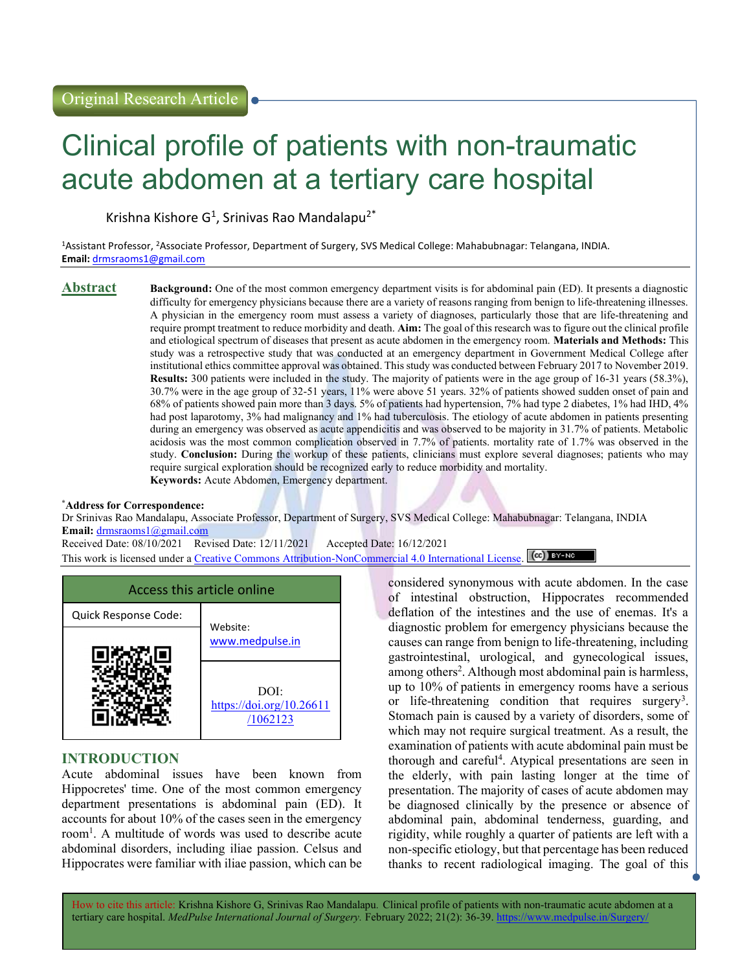# Clinical profile of patients with non-traumatic acute abdomen at a tertiary care hospital

Krishna Kishore G<sup>1</sup>, Srinivas Rao Mandalapu<sup>2\*</sup>

<sup>1</sup>Assistant Professor, <sup>2</sup>Associate Professor, Department of Surgery, SVS Medical College: Mahabubnagar: Telangana, INDIA. Email: drmsraoms1@gmail.com

**Abstract** Background: One of the most common emergency department visits is for abdominal pain (ED). It presents a diagnostic difficulty for emergency physicians because there are a variety of reasons ranging from benign to life-threatening illnesses. A physician in the emergency room must assess a variety of diagnoses, particularly those that are life-threatening and require prompt treatment to reduce morbidity and death. Aim: The goal of this research was to figure out the clinical profile and etiological spectrum of diseases that present as acute abdomen in the emergency room. **Materials and Methods:** This study was a retrospective study that was conducted at an emergency department in Government Medical College after institutional ethics committee approval was obtained. This study was conducted between February 2017 to November 2019. Results: 300 patients were included in the study. The majority of patients were in the age group of 16-31 years (58.3%), 30.7% were in the age group of 32-51 years, 11% were above 51 years. 32% of patients showed sudden onset of pain and 68% of patients showed pain more than 3 days. 5% of patients had hypertension, 7% had type 2 diabetes, 1% had IHD, 4% had post laparotomy, 3% had malignancy and 1% had tuberculosis. The etiology of acute abdomen in patients presenting during an emergency was observed as acute appendicitis and was observed to be majority in 31.7% of patients. Metabolic acidosis was the most common complication observed in 7.7% of patients. mortality rate of 1.7% was observed in the study. Conclusion: During the workup of these patients, clinicians must explore several diagnoses; patients who may require surgical exploration should be recognized early to reduce morbidity and mortality. Keywords: Acute Abdomen, Emergency department.

#### \*Address for Correspondence:

Dr Srinivas Rao Mandalapu, Associate Professor, Department of Surgery, SVS Medical College: Mahabubnagar: Telangana, INDIA Email: drmsraoms1@gmail.com

Received Date: 08/10/2021 Revised Date: 12/11/2021 Accepted Date: 16/12/2021

This work is licensed under a Creative Commons Attribution-NonCommercial 4.0 International License. (cc) International

| Access this article online |                                              |  |
|----------------------------|----------------------------------------------|--|
| Quick Response Code:       | Website:                                     |  |
|                            | www.medpulse.in                              |  |
|                            | DOI:<br>https://doi.org/10.26611<br>/1062123 |  |

# INTRODUCTION

Acute abdominal issues have been known from Hippocretes' time. One of the most common emergency department presentations is abdominal pain (ED). It accounts for about 10% of the cases seen in the emergency room<sup>1</sup>. A multitude of words was used to describe acute abdominal disorders, including iliae passion. Celsus and Hippocrates were familiar with iliae passion, which can be

considered synonymous with acute abdomen. In the case of intestinal obstruction, Hippocrates recommended deflation of the intestines and the use of enemas. It's a diagnostic problem for emergency physicians because the causes can range from benign to life-threatening, including gastrointestinal, urological, and gynecological issues, among others<sup>2</sup>. Although most abdominal pain is harmless, up to 10% of patients in emergency rooms have a serious or life-threatening condition that requires surgery<sup>3</sup>. Stomach pain is caused by a variety of disorders, some of which may not require surgical treatment. As a result, the examination of patients with acute abdominal pain must be thorough and careful<sup>4</sup> . Atypical presentations are seen in the elderly, with pain lasting longer at the time of presentation. The majority of cases of acute abdomen may be diagnosed clinically by the presence or absence of abdominal pain, abdominal tenderness, guarding, and rigidity, while roughly a quarter of patients are left with a non-specific etiology, but that percentage has been reduced thanks to recent radiological imaging. The goal of this

How to cite this article: Krishna Kishore G, Srinivas Rao Mandalapu. Clinical profile of patients with non-traumatic acute abdomen at a tertiary care hospital. MedPulse International Journal of Surgery. February 2022; 21(2): 36-39. https://www.medpulse.in/Surgery.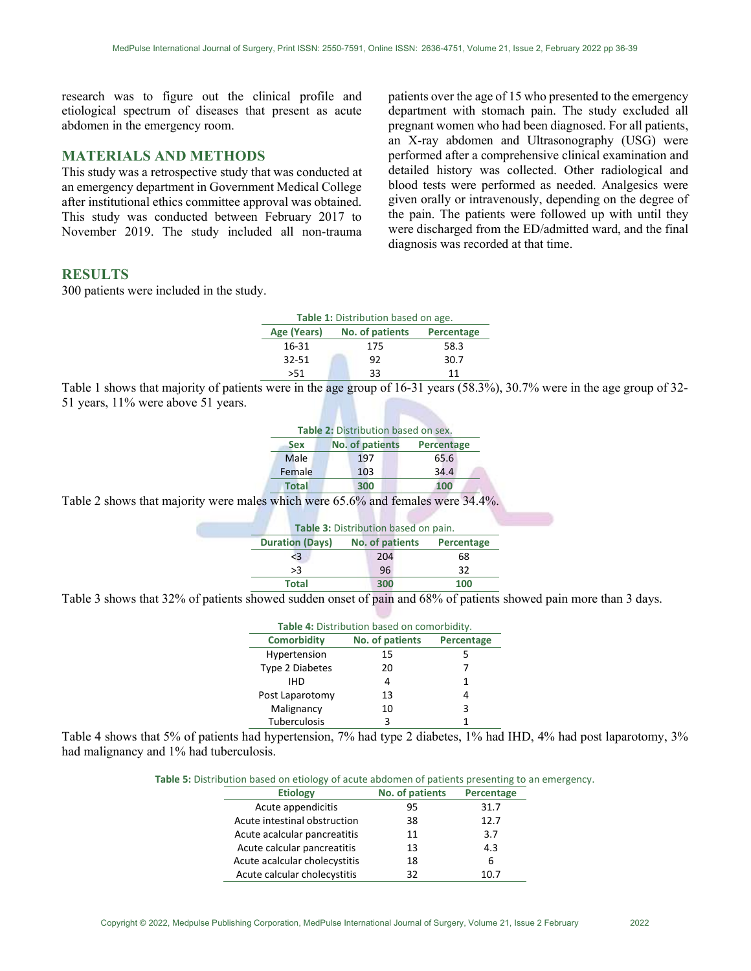research was to figure out the clinical profile and etiological spectrum of diseases that present as acute abdomen in the emergency room.

# MATERIALS AND METHODS

This study was a retrospective study that was conducted at an emergency department in Government Medical College after institutional ethics committee approval was obtained. This study was conducted between February 2017 to November 2019. The study included all non-trauma

### RESULTS

300 patients were included in the study.

patients over the age of 15 who presented to the emergency department with stomach pain. The study excluded all pregnant women who had been diagnosed. For all patients, an X-ray abdomen and Ultrasonography (USG) were performed after a comprehensive clinical examination and detailed history was collected. Other radiological and blood tests were performed as needed. Analgesics were given orally or intravenously, depending on the degree of the pain. The patients were followed up with until they were discharged from the ED/admitted ward, and the final diagnosis was recorded at that time.

| Table 1: Distribution based on age. |                 |            |
|-------------------------------------|-----------------|------------|
| Age (Years)                         | No. of patients | Percentage |
| 16-31                               | 175             | 58.3       |
| $32 - 51$                           | 92              | 30.7       |
| >51                                 | 33              | 11         |

Table 1 shows that majority of patients were in the age group of 16-31 years (58.3%), 30.7% were in the age group of 32- 51 years, 11% were above 51 years.

| Table 2: Distribution based on sex. |                 |            |  |
|-------------------------------------|-----------------|------------|--|
| Sex                                 | No. of patients | Percentage |  |
| Male                                | 197             | 65.6       |  |
| Female                              | 103             | 34.4       |  |
| <b>Total</b>                        | 300             | 100        |  |

Table 2 shows that majority were males which were 65.6% and females were 34.4%.

| Table 3: Distribution based on pain. |                 |            |  |
|--------------------------------------|-----------------|------------|--|
| <b>Duration (Days)</b>               | No. of patients | Percentage |  |
| $<$ 3                                | 204             | 68         |  |
| >3                                   | 96              | 32         |  |
| <b>Total</b>                         | 300             | 100        |  |

Table 3 shows that 32% of patients showed sudden onset of pain and 68% of patients showed pain more than 3 days.

| Table 4: Distribution based on comorbidity. |                 |            |  |
|---------------------------------------------|-----------------|------------|--|
| <b>Comorbidity</b>                          | No. of patients | Percentage |  |
| Hypertension                                | 15              | 5          |  |
| Type 2 Diabetes                             | 20              |            |  |
| IHD                                         | 4               | 1          |  |
| Post Laparotomy                             | 13              | 4          |  |
| Malignancy                                  | 10              | 3          |  |
| Tuberculosis                                | ર               |            |  |

Table 4 shows that 5% of patients had hypertension, 7% had type 2 diabetes, 1% had IHD, 4% had post laparotomy, 3% had malignancy and 1% had tuberculosis.

Table 5: Distribution based on etiology of acute abdomen of patients presenting to an emergency.

| <b>Etiology</b>               | No. of patients | Percentage |
|-------------------------------|-----------------|------------|
| Acute appendicitis            | 95              | 31.7       |
| Acute intestinal obstruction  | 38              | 12.7       |
| Acute acalcular pancreatitis  | 11              | 3.7        |
| Acute calcular pancreatitis   | 13              | 4.3        |
| Acute acalcular cholecystitis | 18              | 6          |
| Acute calcular cholecystitis  | 32              | 1N 7       |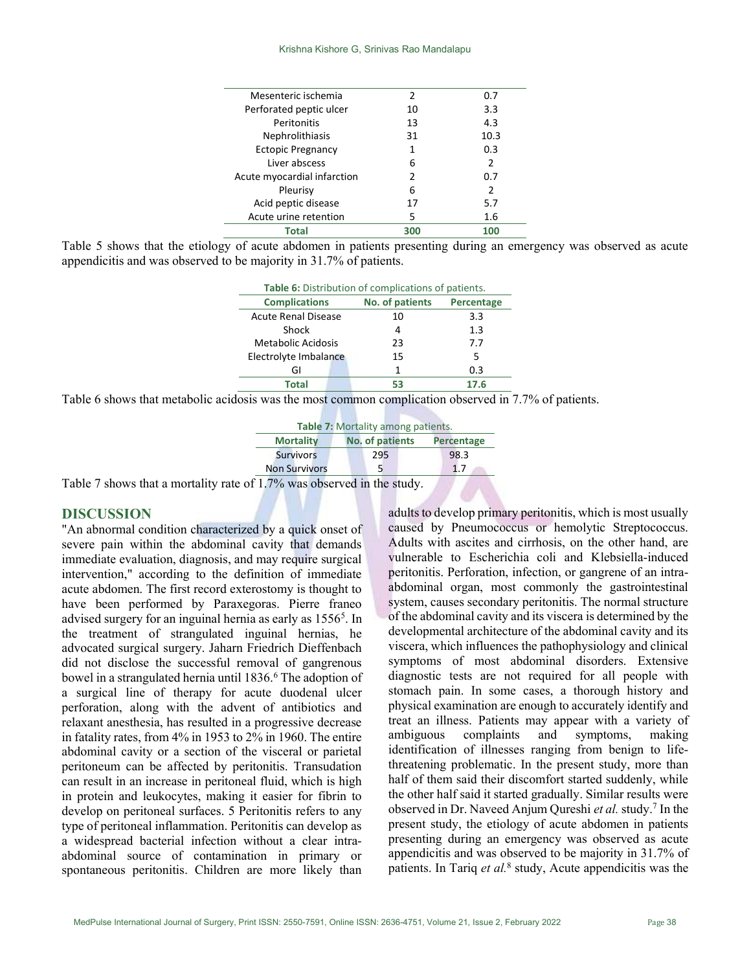| Mesenteric ischemia         | 2   | 0.7            |
|-----------------------------|-----|----------------|
| Perforated peptic ulcer     | 10  | 3.3            |
| Peritonitis                 | 13  | 4.3            |
| Nephrolithiasis             | 31  | 10.3           |
| <b>Ectopic Pregnancy</b>    | 1   | 0.3            |
| Liver abscess               | 6   | $\mathfrak{p}$ |
| Acute myocardial infarction | 2   | 0.7            |
| Pleurisy                    | 6   | 2              |
| Acid peptic disease         | 17  | 5.7            |
| Acute urine retention       | 5   | 1.6            |
| Total                       | 300 | 100            |

Table 5 shows that the etiology of acute abdomen in patients presenting during an emergency was observed as acute appendicitis and was observed to be majority in 31.7% of patients.

| Table 6: Distribution of complications of patients. |                 |            |
|-----------------------------------------------------|-----------------|------------|
| <b>Complications</b>                                | No. of patients | Percentage |
| <b>Acute Renal Disease</b>                          | 10              | 3.3        |
| Shock                                               | 4               | 1.3        |
| Metabolic Acidosis                                  | 23              | 7.7        |
| Electrolyte Imbalance                               | 15              | 5          |
| GI                                                  | 1               | 0.3        |
| Total                                               |                 | 17.6       |

Table 6 shows that metabolic acidosis was the most common complication observed in 7.7% of patients.

| Table 7: Mortality among patients. |                                      |      |  |
|------------------------------------|--------------------------------------|------|--|
| <b>Mortality</b>                   | No. of patients<br><b>Percentage</b> |      |  |
| <b>Survivors</b>                   | 295                                  | 98.3 |  |
| <b>Non Survivors</b>               |                                      | 1.7  |  |
| $17\%$ was observed in the study   |                                      |      |  |

Table 7 shows that a mortality rate of  $1.7\%$  was obser

## **DISCUSSION**

"An abnormal condition characterized by a quick onset of severe pain within the abdominal cavity that demands immediate evaluation, diagnosis, and may require surgical intervention," according to the definition of immediate acute abdomen. The first record exterostomy is thought to have been performed by Paraxegoras. Pierre franeo advised surgery for an inguinal hernia as early as 1556<sup>5</sup>. In the treatment of strangulated inguinal hernias, he advocated surgical surgery. Jaharn Friedrich Dieffenbach did not disclose the successful removal of gangrenous bowel in a strangulated hernia until 1836.<sup>6</sup> The adoption of a surgical line of therapy for acute duodenal ulcer perforation, along with the advent of antibiotics and relaxant anesthesia, has resulted in a progressive decrease in fatality rates, from 4% in 1953 to 2% in 1960. The entire abdominal cavity or a section of the visceral or parietal peritoneum can be affected by peritonitis. Transudation can result in an increase in peritoneal fluid, which is high in protein and leukocytes, making it easier for fibrin to develop on peritoneal surfaces. 5 Peritonitis refers to any type of peritoneal inflammation. Peritonitis can develop as a widespread bacterial infection without a clear intraabdominal source of contamination in primary or spontaneous peritonitis. Children are more likely than

adults to develop primary peritonitis, which is most usually caused by Pneumococcus or hemolytic Streptococcus. Adults with ascites and cirrhosis, on the other hand, are vulnerable to Escherichia coli and Klebsiella-induced peritonitis. Perforation, infection, or gangrene of an intraabdominal organ, most commonly the gastrointestinal system, causes secondary peritonitis. The normal structure of the abdominal cavity and its viscera is determined by the developmental architecture of the abdominal cavity and its viscera, which influences the pathophysiology and clinical symptoms of most abdominal disorders. Extensive diagnostic tests are not required for all people with stomach pain. In some cases, a thorough history and physical examination are enough to accurately identify and treat an illness. Patients may appear with a variety of ambiguous complaints and symptoms, making identification of illnesses ranging from benign to lifethreatening problematic. In the present study, more than half of them said their discomfort started suddenly, while the other half said it started gradually. Similar results were observed in Dr. Naveed Anjum Qureshi et al. study.<sup>7</sup> In the present study, the etiology of acute abdomen in patients presenting during an emergency was observed as acute appendicitis and was observed to be majority in 31.7% of patients. In Tariq et al.<sup>8</sup> study, Acute appendicitis was the